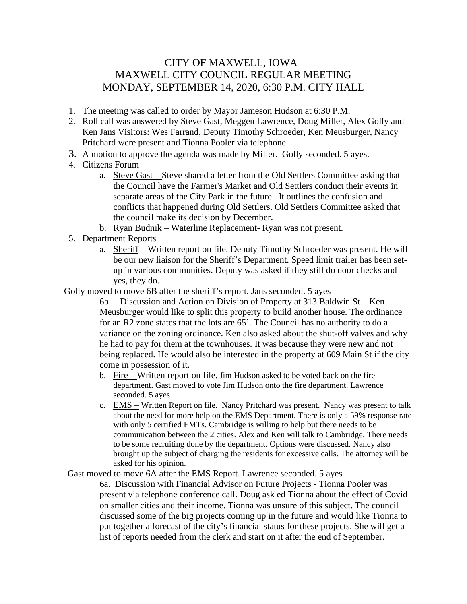## CITY OF MAXWELL, IOWA MAXWELL CITY COUNCIL REGULAR MEETING MONDAY, SEPTEMBER 14, 2020, 6:30 P.M. CITY HALL

- 1. The meeting was called to order by Mayor Jameson Hudson at 6:30 P.M.
- 2. Roll call was answered by Steve Gast, Meggen Lawrence, Doug Miller, Alex Golly and Ken Jans Visitors: Wes Farrand, Deputy Timothy Schroeder, Ken Meusburger, Nancy Pritchard were present and Tionna Pooler via telephone.
- 3. A motion to approve the agenda was made by Miller. Golly seconded. 5 ayes.
- 4. Citizens Forum
	- a. Steve Gast Steve shared a letter from the Old Settlers Committee asking that the Council have the Farmer's Market and Old Settlers conduct their events in separate areas of the City Park in the future. It outlines the confusion and conflicts that happened during Old Settlers. Old Settlers Committee asked that the council make its decision by December.
	- b. Ryan Budnik Waterline Replacement- Ryan was not present.
- 5. Department Reports
	- a. Sheriff Written report on file. Deputy Timothy Schroeder was present. He will be our new liaison for the Sheriff's Department. Speed limit trailer has been setup in various communities. Deputy was asked if they still do door checks and yes, they do.

Golly moved to move 6B after the sheriff's report. Jans seconded. 5 ayes

6b Discussion and Action on Division of Property at 313 Baldwin  $St - Ken$ Meusburger would like to split this property to build another house. The ordinance for an R2 zone states that the lots are 65'. The Council has no authority to do a variance on the zoning ordinance. Ken also asked about the shut-off valves and why he had to pay for them at the townhouses. It was because they were new and not being replaced. He would also be interested in the property at 609 Main St if the city come in possession of it.

- b. Fire Written report on file. Jim Hudson asked to be voted back on the fire department. Gast moved to vote Jim Hudson onto the fire department. Lawrence seconded. 5 ayes.
- c. **EMS** Written Report on file. Nancy Pritchard was present. Nancy was present to talk about the need for more help on the EMS Department. There is only a 59% response rate with only 5 certified EMTs. Cambridge is willing to help but there needs to be communication between the 2 cities. Alex and Ken will talk to Cambridge. There needs to be some recruiting done by the department. Options were discussed. Nancy also brought up the subject of charging the residents for excessive calls. The attorney will be asked for his opinion.

Gast moved to move 6A after the EMS Report. Lawrence seconded. 5 ayes

6a. Discussion with Financial Advisor on Future Projects - Tionna Pooler was present via telephone conference call. Doug ask ed Tionna about the effect of Covid on smaller cities and their income. Tionna was unsure of this subject. The council discussed some of the big projects coming up in the future and would like Tionna to put together a forecast of the city's financial status for these projects. She will get a list of reports needed from the clerk and start on it after the end of September.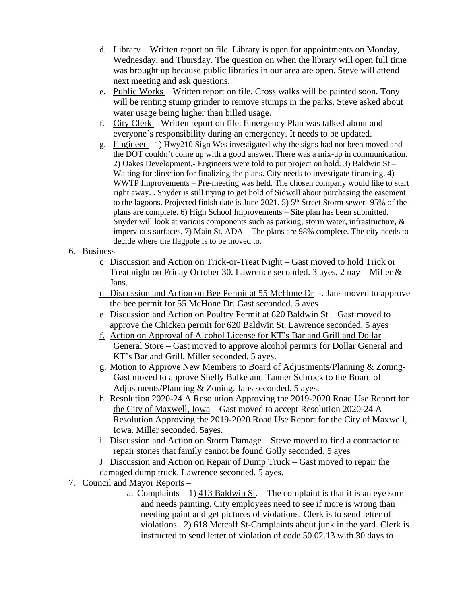- d. Library Written report on file. Library is open for appointments on Monday, Wednesday, and Thursday. The question on when the library will open full time was brought up because public libraries in our area are open. Steve will attend next meeting and ask questions.
- e. Public Works Written report on file. Cross walks will be painted soon. Tony will be renting stump grinder to remove stumps in the parks. Steve asked about water usage being higher than billed usage.
- f. City Clerk Written report on file. Emergency Plan was talked about and everyone's responsibility during an emergency. It needs to be updated.
- g. Engineer 1) Hwy210 Sign Wes investigated why the signs had not been moved and the DOT couldn't come up with a good answer. There was a mix-up in communication. 2) Oakes Development.- Engineers were told to put project on hold. 3) Baldwin St – Waiting for direction for finalizing the plans. City needs to investigate financing. 4) WWTP Improvements – Pre-meeting was held. The chosen company would like to start right away. . Snyder is still trying to get hold of Sidwell about purchasing the easement to the lagoons. Projected finish date is June 2021. 5)  $5<sup>th</sup>$  Street Storm sewer- 95% of the plans are complete. 6) High School Improvements – Site plan has been submitted. Snyder will look at various components such as parking, storm water, infrastructure, & impervious surfaces. 7) Main St. ADA – The plans are 98% complete. The city needs to decide where the flagpole is to be moved to.

## 6. Business

- c Discussion and Action on Trick-or-Treat Night Gast moved to hold Trick or Treat night on Friday October 30. Lawrence seconded. 3 ayes, 2 nay – Miller & Jans.
- d Discussion and Action on Bee Permit at 55 McHone Dr -. Jans moved to approve the bee permit for 55 McHone Dr. Gast seconded. 5 ayes
- e Discussion and Action on Poultry Permit at 620 Baldwin St Gast moved to approve the Chicken permit for 620 Baldwin St. Lawrence seconded. 5 ayes
- f. Action on Approval of Alcohol License for KT's Bar and Grill and Dollar General Store – Gast moved to approve alcohol permits for Dollar General and KT's Bar and Grill. Miller seconded. 5 ayes.
- g. Motion to Approve New Members to Board of Adjustments/Planning & Zoning-Gast moved to approve Shelly Balke and Tanner Schrock to the Board of Adjustments/Planning & Zoning. Jans seconded. 5 ayes.
- h. Resolution 2020-24 A Resolution Approving the 2019-2020 Road Use Report for the City of Maxwell, Iowa – Gast moved to accept Resolution 2020-24 A Resolution Approving the 2019-2020 Road Use Report for the City of Maxwell, Iowa. Miller seconded. 5ayes.
- i. Discussion and Action on Storm Damage Steve moved to find a contractor to repair stones that family cannot be found Golly seconded. 5 ayes
- J Discussion and Action on Repair of Dump Truck Gast moved to repair the damaged dump truck. Lawrence seconded. 5 ayes.
- 7. Council and Mayor Reports
	- a. Complaints 1) 413 Baldwin St. The complaint is that it is an eye sore and needs painting. City employees need to see if more is wrong than needing paint and get pictures of violations. Clerk is to send letter of violations. 2) 618 Metcalf St-Complaints about junk in the yard. Clerk is instructed to send letter of violation of code 50.02.13 with 30 days to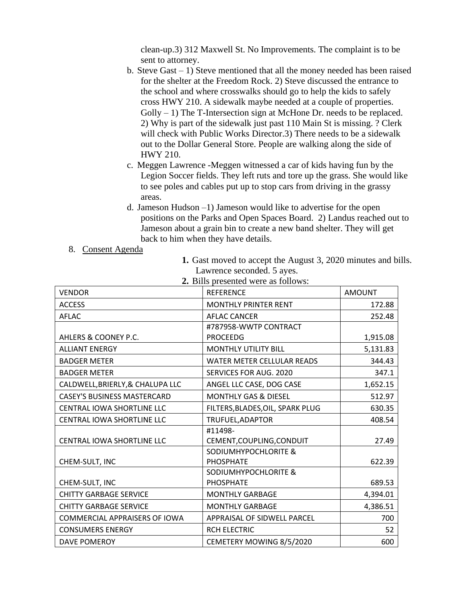clean-up.3) 312 Maxwell St. No Improvements. The complaint is to be sent to attorney.

- b. Steve Gast 1) Steve mentioned that all the money needed has been raised for the shelter at the Freedom Rock. 2) Steve discussed the entrance to the school and where crosswalks should go to help the kids to safely cross HWY 210. A sidewalk maybe needed at a couple of properties.  $Golly - 1$ ) The T-Intersection sign at McHone Dr. needs to be replaced. 2) Why is part of the sidewalk just past 110 Main St is missing. ? Clerk will check with Public Works Director.3) There needs to be a sidewalk out to the Dollar General Store. People are walking along the side of HWY 210.
- c. Meggen Lawrence -Meggen witnessed a car of kids having fun by the Legion Soccer fields. They left ruts and tore up the grass. She would like to see poles and cables put up to stop cars from driving in the grassy areas.
- d. Jameson Hudson –1) Jameson would like to advertise for the open positions on the Parks and Open Spaces Board. 2) Landus reached out to Jameson about a grain bin to create a new band shelter. They will get back to him when they have details.
- 8. Consent Agenda
- **1.** Gast moved to accept the August 3, 2020 minutes and bills. Lawrence seconded. 5 ayes.

| 2. DHIS presented were as follows. |                                   |               |  |  |
|------------------------------------|-----------------------------------|---------------|--|--|
| <b>VENDOR</b>                      | <b>REFERENCE</b>                  | <b>AMOUNT</b> |  |  |
| <b>ACCESS</b>                      | <b>MONTHLY PRINTER RENT</b>       | 172.88        |  |  |
| <b>AFLAC</b>                       | <b>AFLAC CANCER</b>               | 252.48        |  |  |
|                                    | #787958-WWTP CONTRACT             |               |  |  |
| AHLERS & COONEY P.C.               | <b>PROCEEDG</b>                   | 1,915.08      |  |  |
| <b>ALLIANT ENERGY</b>              | <b>MONTHLY UTILITY BILL</b>       | 5,131.83      |  |  |
| <b>BADGER METER</b>                | <b>WATER METER CELLULAR READS</b> | 344.43        |  |  |
| <b>BADGER METER</b>                | SERVICES FOR AUG. 2020            | 347.1         |  |  |
| CALDWELL, BRIERLY, & CHALUPA LLC   | ANGEL LLC CASE, DOG CASE          | 1,652.15      |  |  |
| <b>CASEY'S BUSINESS MASTERCARD</b> | <b>MONTHLY GAS &amp; DIESEL</b>   | 512.97        |  |  |
| <b>CENTRAL IOWA SHORTLINE LLC</b>  | FILTERS, BLADES, OIL, SPARK PLUG  | 630.35        |  |  |
| <b>CENTRAL IOWA SHORTLINE LLC</b>  | TRUFUEL, ADAPTOR                  | 408.54        |  |  |
|                                    | #11498-                           |               |  |  |
| CENTRAL IOWA SHORTLINE LLC         | CEMENT, COUPLING, CONDUIT         | 27.49         |  |  |
|                                    | SODIUMHYPOCHLORITE &              |               |  |  |
| CHEM-SULT, INC                     | <b>PHOSPHATE</b>                  | 622.39        |  |  |
|                                    | SODIUMHYPOCHLORITE &              |               |  |  |
| CHEM-SULT, INC                     | <b>PHOSPHATE</b>                  | 689.53        |  |  |
| <b>CHITTY GARBAGE SERVICE</b>      | <b>MONTHLY GARBAGE</b>            | 4,394.01      |  |  |
| <b>CHITTY GARBAGE SERVICE</b>      | <b>MONTHLY GARBAGE</b>            | 4,386.51      |  |  |
| COMMERCIAL APPRAISERS OF IOWA      | APPRAISAL OF SIDWELL PARCEL       | 700           |  |  |
| <b>CONSUMERS ENERGY</b>            | <b>RCH ELECTRIC</b>               | 52            |  |  |
| DAVE POMEROY                       | CEMETERY MOWING 8/5/2020          | 600           |  |  |

**2.** Bills presented were as follows: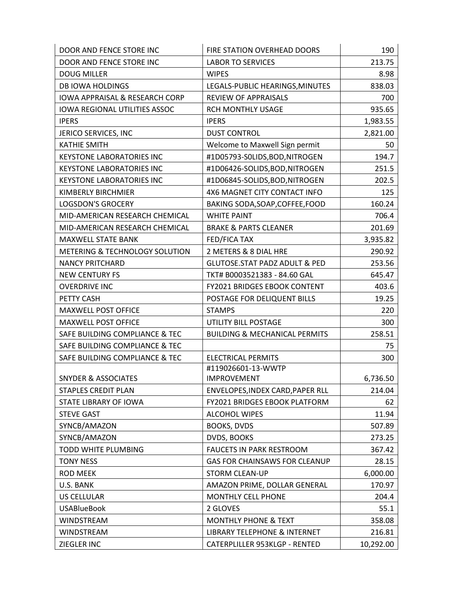| DOOR AND FENCE STORE INC                  | FIRE STATION OVERHEAD DOORS              | 190       |
|-------------------------------------------|------------------------------------------|-----------|
| DOOR AND FENCE STORE INC                  | <b>LABOR TO SERVICES</b>                 | 213.75    |
| <b>DOUG MILLER</b>                        | <b>WIPES</b>                             | 8.98      |
| <b>DB IOWA HOLDINGS</b>                   | LEGALS-PUBLIC HEARINGS, MINUTES          | 838.03    |
| <b>IOWA APPRAISAL &amp; RESEARCH CORP</b> | <b>REVIEW OF APPRAISALS</b>              | 700       |
| <b>IOWA REGIONAL UTILITIES ASSOC</b>      | RCH MONTHLY USAGE                        | 935.65    |
| <b>IPERS</b>                              | <b>IPERS</b>                             | 1,983.55  |
| JERICO SERVICES, INC                      | <b>DUST CONTROL</b>                      | 2,821.00  |
| <b>KATHIE SMITH</b>                       | Welcome to Maxwell Sign permit           | 50        |
| <b>KEYSTONE LABORATORIES INC</b>          | #1D05793-S0LIDS,BOD,NITROGEN             | 194.7     |
| <b>KEYSTONE LABORATORIES INC</b>          | #1D06426-SOLIDS, BOD, NITROGEN           | 251.5     |
| <b>KEYSTONE LABORATORIES INC</b>          | #1D06845-SOLIDS, BOD, NITROGEN           | 202.5     |
| KIMBERLY BIRCHMIER                        | 4X6 MAGNET CITY CONTACT INFO             | 125       |
| <b>LOGSDON'S GROCERY</b>                  | BAKING SODA, SOAP, COFFEE, FOOD          | 160.24    |
| MID-AMERICAN RESEARCH CHEMICAL            | <b>WHITE PAINT</b>                       | 706.4     |
| MID-AMERICAN RESEARCH CHEMICAL            | <b>BRAKE &amp; PARTS CLEANER</b>         | 201.69    |
| <b>MAXWELL STATE BANK</b>                 | <b>FED/FICA TAX</b>                      | 3,935.82  |
| METERING & TECHNOLOGY SOLUTION            | 2 METERS & 8 DIAL HRE                    | 290.92    |
| <b>NANCY PRITCHARD</b>                    | <b>GLUTOSE.STAT PADZ ADULT &amp; PED</b> | 253.56    |
| <b>NEW CENTURY FS</b>                     | TKT# B0003521383 - 84.60 GAL             | 645.47    |
| <b>OVERDRIVE INC</b>                      | FY2021 BRIDGES EBOOK CONTENT             | 403.6     |
| PETTY CASH                                | POSTAGE FOR DELIQUENT BILLS              | 19.25     |
| <b>MAXWELL POST OFFICE</b>                | <b>STAMPS</b>                            | 220       |
| <b>MAXWELL POST OFFICE</b>                | UTILITY BILL POSTAGE                     | 300       |
| SAFE BUILDING COMPLIANCE & TEC            | <b>BUILDING &amp; MECHANICAL PERMITS</b> | 258.51    |
| SAFE BUILDING COMPLIANCE & TEC            |                                          | 75        |
| SAFE BUILDING COMPLIANCE & TEC            | <b>ELECTRICAL PERMITS</b>                | 300       |
|                                           | #119026601-13-WWTP                       |           |
| <b>SNYDER &amp; ASSOCIATES</b>            | <b>IMPROVEMENT</b>                       | 6,736.50  |
| <b>STAPLES CREDIT PLAN</b>                | ENVELOPES, INDEX CARD, PAPER RLL         | 214.04    |
| STATE LIBRARY OF IOWA                     | FY2021 BRIDGES EBOOK PLATFORM            | 62        |
| <b>STEVE GAST</b>                         | <b>ALCOHOL WIPES</b>                     | 11.94     |
| SYNCB/AMAZON                              | <b>BOOKS, DVDS</b>                       | 507.89    |
| SYNCB/AMAZON                              | DVDS, BOOKS                              | 273.25    |
| TODD WHITE PLUMBING                       | <b>FAUCETS IN PARK RESTROOM</b>          | 367.42    |
| <b>TONY NESS</b>                          | GAS FOR CHAINSAWS FOR CLEANUP            | 28.15     |
| <b>ROD MEEK</b>                           | <b>STORM CLEAN-UP</b>                    | 6,000.00  |
| U.S. BANK                                 | AMAZON PRIME, DOLLAR GENERAL             | 170.97    |
| <b>US CELLULAR</b>                        | <b>MONTHLY CELL PHONE</b>                | 204.4     |
| <b>USABlueBook</b>                        | 2 GLOVES                                 | 55.1      |
| WINDSTREAM                                | <b>MONTHLY PHONE &amp; TEXT</b>          | 358.08    |
| <b>WINDSTREAM</b>                         | <b>LIBRARY TELEPHONE &amp; INTERNET</b>  | 216.81    |
| ZIEGLER INC                               | CATERPLILLER 953KLGP - RENTED            | 10,292.00 |